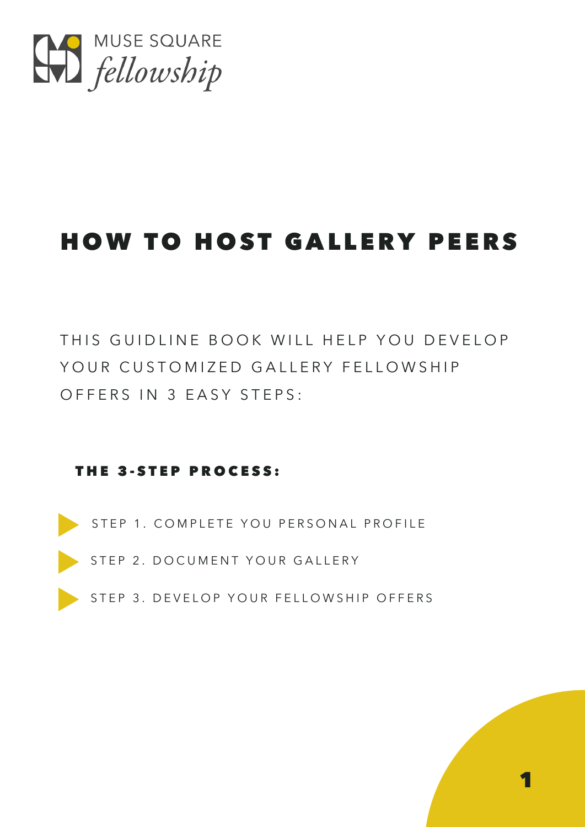

# **HOW TO HOST GALLERY PEERS**

THIS GUIDLINE BOOK WILL HELP YOU DEVELOP YOUR CUSTOMIZED GALLERY FELLOWSHIP OFFERS IN 3 EASY STEPS:

#### THE 3-STEP PROCESS:

STEP 1. COMPLETE YOU PERSONAL PROFILE

STEP 2. DOCUMENT YOUR GALLERY

STEP 3. DEVELOP YOUR FELLOWSHIP OFFERS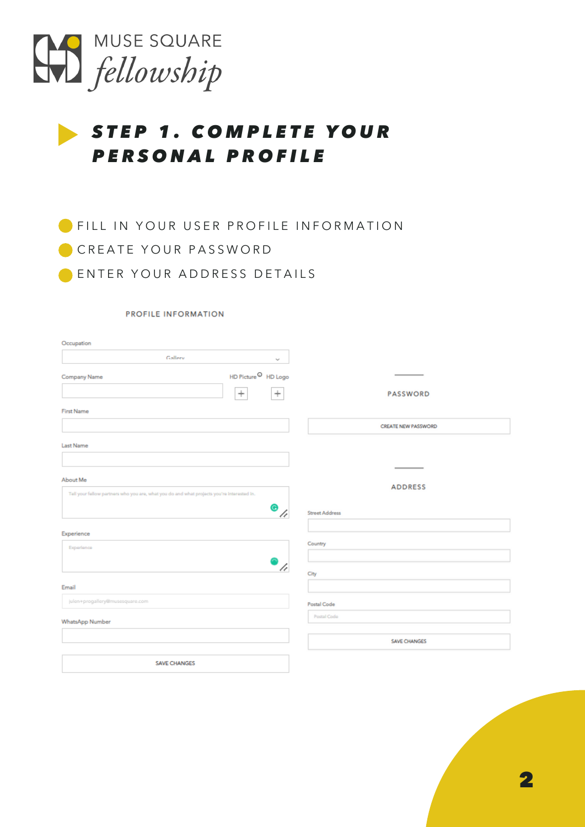

### STEP 1. COMPLETE YOUR PERSONAL PROFILE

**FILL IN YOUR USER PROFILE INFORMATION** CREATE YOUR PASSWORD ENTER YOUR ADDRESS DETAILS

#### PROFILE INFORMATION

| Occupation                                                                                 |                       |
|--------------------------------------------------------------------------------------------|-----------------------|
| Gallery<br>$\mathcal{C}_{\mathcal{M}}$                                                     |                       |
| ${\sf HD}$ Picture $^\textcircled{\mathsf{I}}$ HD Logo<br>Company Name                     |                       |
| $^{+}$<br>$\,{}^{+}\,$                                                                     | <b>PASSWORD</b>       |
| <b>First Name</b>                                                                          |                       |
|                                                                                            | CREATE NEW PASSWORD   |
| Last Name                                                                                  |                       |
|                                                                                            |                       |
| About Me                                                                                   |                       |
| Tell your fellow partners who you are, what you do and what projects you're interested in. | <b>ADDRESS</b>        |
| ◉<br>4                                                                                     | <b>Street Address</b> |
| Experience                                                                                 |                       |
| Experience                                                                                 | Country               |
| h                                                                                          |                       |
|                                                                                            | City                  |
| Email                                                                                      |                       |
| julen+progallery@musesquare.com                                                            | Postal Code           |
| WhatsApp Number                                                                            | Postal Code           |
|                                                                                            | <b>SAVE CHANGES</b>   |
| <b>SAVE CHANGES</b>                                                                        |                       |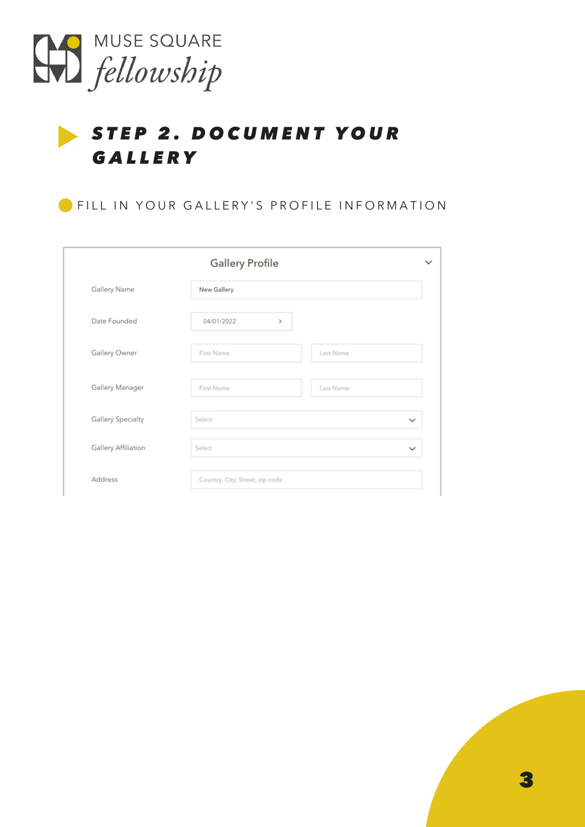

# STEP 2. DOCUMENT YOUR **GALLERY**

FILL IN YOUR GALLERY'S PROFILE INFORMATION

|                            | <b>Gallery Profile</b>          | $\checkmark$ |
|----------------------------|---------------------------------|--------------|
| <b>Gallery Name</b>        | New Gallery                     |              |
| Date Founded               | 04/01/2022<br>$\,>\,$           |              |
| Gallery Owner              | Last Name<br>First Name         |              |
| Gallery Manager            | First Name<br>Last Name         |              |
| <b>Gallery Specialty</b>   | Select                          | $\checkmark$ |
| <b>Gallery Affiliation</b> | Select                          | $\checkmark$ |
| Address                    | Country, City, Street, zip code |              |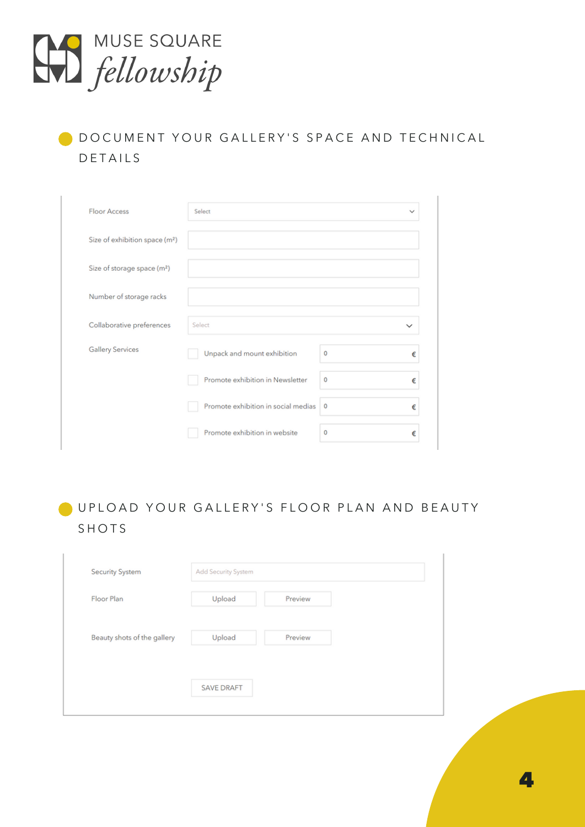

### D DO CUMENT YOUR GALLERY'S SPACE AND TECHNICAL **DETAILS**

| <b>Floor Access</b>                        | Select                              |   | $\checkmark$ |
|--------------------------------------------|-------------------------------------|---|--------------|
| Size of exhibition space (m <sup>2</sup> ) |                                     |   |              |
| Size of storage space (m <sup>2</sup> )    |                                     |   |              |
| Number of storage racks                    |                                     |   |              |
| Collaborative preferences                  | Select                              |   | $\checkmark$ |
| <b>Gallery Services</b>                    | Unpack and mount exhibition         | 0 | €            |
|                                            | Promote exhibition in Newsletter    | 0 | €            |
|                                            |                                     |   |              |
|                                            | Promote exhibition in social medias | 0 | €            |

### O UPLOAD YOUR GALLERY'S FLOOR PLAN AND BEAUTY **SHOTS**

| <b>Security System</b>      | Add Security System |         |
|-----------------------------|---------------------|---------|
| Floor Plan                  | Upload              | Preview |
| Beauty shots of the gallery | Upload              | Preview |
|                             | <b>SAVE DRAFT</b>   |         |

4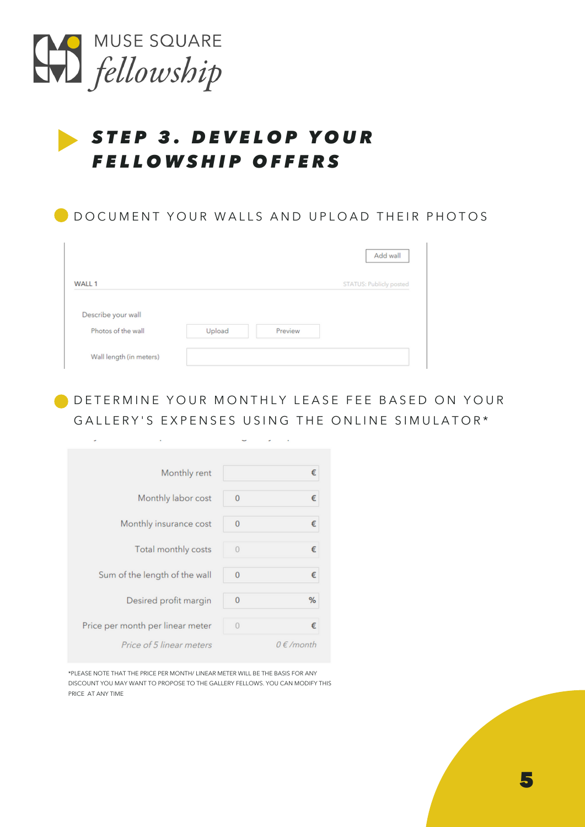

÷.

### STEP 3. DEVELOP YOUR FELLOWSHIP OFFERS

| DOCUMENT YOUR WALLS AND UPLOAD THEIR PHOTOS |        |         |                         |  |
|---------------------------------------------|--------|---------|-------------------------|--|
|                                             |        |         | Add wall                |  |
| WALL 1                                      |        |         | STATUS: Publicly posted |  |
| Describe your wall                          |        |         |                         |  |
| Photos of the wall                          | Upload | Preview |                         |  |
| Wall length (in meters)                     |        |         |                         |  |

DE TERMINE YOUR MONTHLY LEASE FEE BASED ON YOUR GALLERY'S EXPENSES USING THE ONLINE SIMULATOR\*

| Monthly rent                     |                | €              |
|----------------------------------|----------------|----------------|
| Monthly labor cost               | $\mathbf{0}$   | €              |
| Monthly insurance cost           | 0              | €              |
| Total monthly costs              | $\overline{0}$ | €              |
| Sum of the length of the wall    | 0              | €              |
| Desired profit margin            | 0              | %              |
| Price per month per linear meter | $\theta$       | €              |
| Price of 5 linear meters         |                | $0 \in$ /month |

\*PLEASE NOTE THAT THE PRICE PER MONTH/ LINEAR METER WILL BE THE BASIS FOR ANY DISCOUNT YOU MAY WANT TO PROPOSE TO THE GALLERY FELLOWS. YOU CAN MODIFY THIS PRICE AT ANY TIME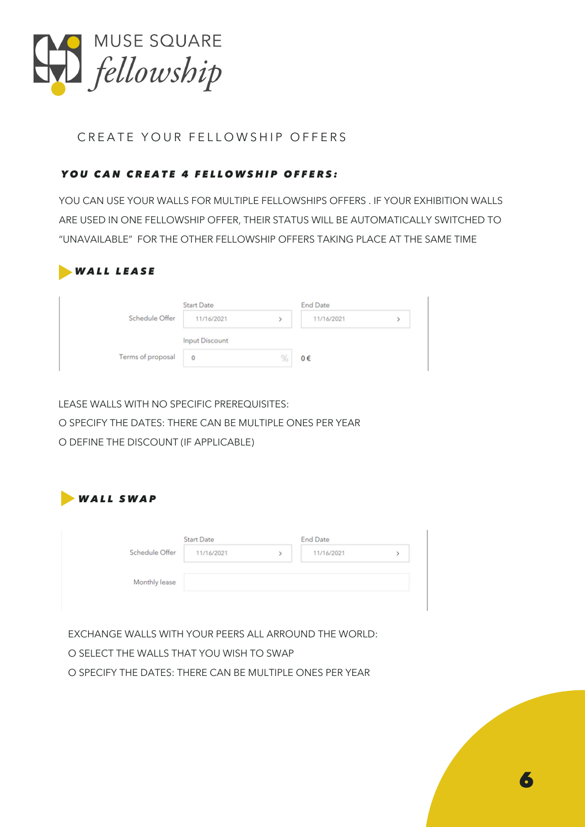

#### CREATE YOUR FELLOWSHIP OFFERS

#### YOU CAN CREATE 4 FELLOWSHIP OFFERS:

YOU CAN USE YOUR WALLS FOR MULTIPLE FELLOWSHIPS OFFERS . IF YOUR EXHIBITION WALLS ARE USED IN ONE FELLOWSHIP OFFER, THEIR STATUS WILL BE AUTOMATICALLY SWITCHED TO "UNAVAILABLE" FOR THE OTHER FELLOWSHIP OFFERS TAKING PLACE AT THE SAME TIME

| <b>WALL LEASE</b> |                       |   |                 |  |
|-------------------|-----------------------|---|-----------------|--|
|                   | <b>Start Date</b>     |   | <b>End Date</b> |  |
| Schedule Offer    | 11/16/2021            |   | 11/16/2021      |  |
|                   | <b>Input Discount</b> |   |                 |  |
| Terms of proposal | 0                     | % | 0€              |  |

LEASE WALLS WITH NO SPECIFIC PREREQUISITES:

O SPECIFY THE DATES: THERE CAN BE MULTIPLE ONES PER YEAR

O DEFINE THE DISCOUNT (IF APPLICABLE)



| 11/16/2021 |  |
|------------|--|
|            |  |
|            |  |
|            |  |
|            |  |

EXCHANGE WALLS WITH YOUR PEERS ALL ARROUND THE WORLD:

O SELECT THE WALLS THAT YOU WISH TO SWAP

O SPECIFY THE DATES: THERE CAN BE MULTIPLE ONES PER YEAR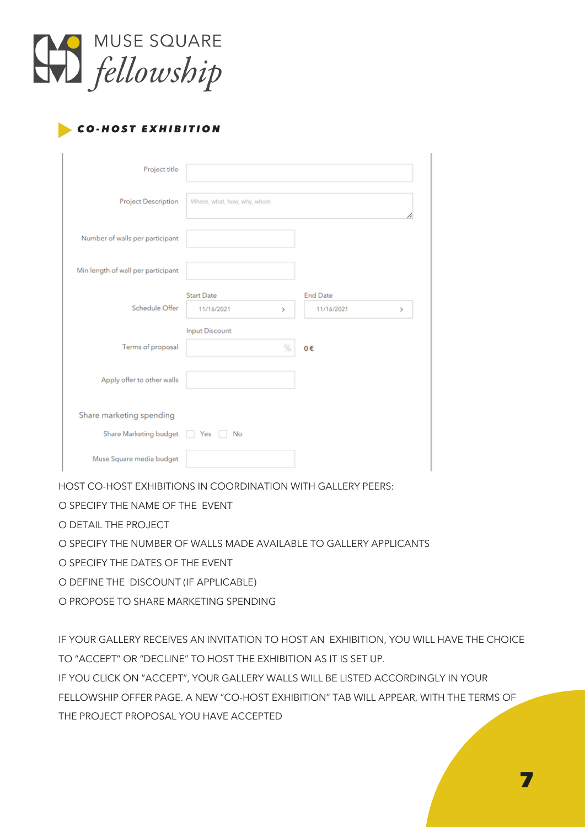

#### **CO-HOST EXHIBITION**

| Project title                      |                                      |                                    |
|------------------------------------|--------------------------------------|------------------------------------|
| <b>Project Description</b>         | Where, what, how, why, whom          |                                    |
| Number of walls per participant    |                                      |                                    |
| Min length of wall per participant |                                      |                                    |
| Schedule Offer                     | <b>Start Date</b><br>11/16/2021<br>> | <b>End Date</b><br>11/16/2021<br>> |
| Terms of proposal                  | <b>Input Discount</b><br>%           | 0€                                 |
| Apply offer to other walls         |                                      |                                    |
| Share marketing spending           |                                      |                                    |
| Share Marketing budget             | Yes<br>No                            |                                    |
| Muse Square media budget           |                                      |                                    |

HOST CO-HOST EXHIBITIONS IN COORDINATION WITH GALLERY PEERS:

O SPECIFY THE NAME OF THE EVENT

O DETAIL THE PROJECT

O SPECIFY THE NUMBER OF WALLS MADE AVAILABLE TO GALLERY APPLICANTS

O SPECIFY THE DATES OF THE EVENT

O DEFINE THE DISCOUNT (IF APPLICABLE)

O PROPOSE TO SHARE MARKETING SPENDING

IF YOUR GALLERY RECEIVES AN INVITATION TO HOST AN EXHIBITION, YOU WILL HAVE THE CHOICE TO "ACCEPT" OR "DECLINE" TO HOST THE EXHIBITION AS IT IS SET UP.

IF YOU CLICK ON "ACCEPT", YOUR GALLERY WALLS WILL BE LISTED ACCORDINGLY IN YOUR FELLOWSHIP OFFER PAGE. A NEW "CO-HOST EXHIBITION" TAB WILL APPEAR, WITH THE TERMS OF THE PROJECT PROPOSAL YOU HAVE ACCEPTED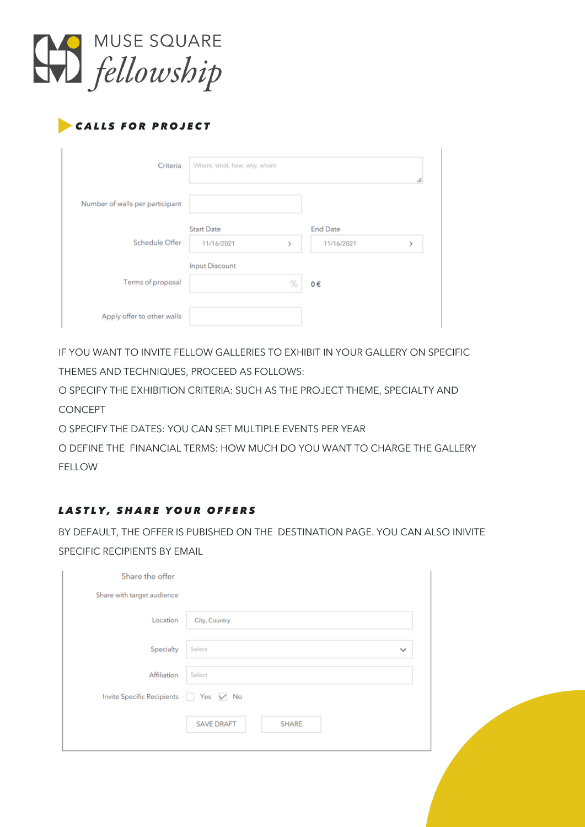

#### CALLS FOR PROJECT

| Criteria                        | Where, what, how, why, whom |   |                 |   |
|---------------------------------|-----------------------------|---|-----------------|---|
| Number of walls per participant |                             |   |                 |   |
|                                 | <b>Start Date</b>           |   | <b>End Date</b> |   |
| Schedule Offer                  | 11/16/2021                  | y | 11/16/2021      | S |
|                                 | Input Discount              |   |                 |   |
| Terms of proposal               |                             | % | 0€              |   |
|                                 |                             |   |                 |   |
| Apply offer to other walls      |                             |   |                 |   |

IF YOU WANT TO INVITE FELLOW GALLERIES TO EXHIBIT IN YOUR GALLERY ON SPECIFIC THEMES AND TECHNIQUES, PROCEED AS FOLLOWS:

O SPECIFY THE EXHIBITION CRITERIA: SUCH AS THE PROJECT THEME, SPECIALTY AND CONCEPT

O SPECIFY THE DATES: YOU CAN SET MULTIPLE EVENTS PER YEAR

O DEFINE THE FINANCIAL TERMS: HOW MUCH DO YOU WANT TO CHARGE THE GALLERY FELLOW

#### LASTLY, SHARE YOUR OFFERS

BY DEFAULT, THE OFFER IS PUBISHED ON THE DESTINATION PAGE. YOU CAN ALSO INIVITE SPECIFIC RECIPIENTS BY EMAIL

| Share the offer                     |                                   |              |
|-------------------------------------|-----------------------------------|--------------|
| Share with target audience          |                                   |              |
| Location                            | City, Country                     |              |
| Specialty                           | Select                            | $\checkmark$ |
| Affiliation                         | Select                            |              |
| Invite Specific Recipients Yes V No |                                   |              |
|                                     | <b>SAVE DRAFT</b><br><b>SHARE</b> |              |